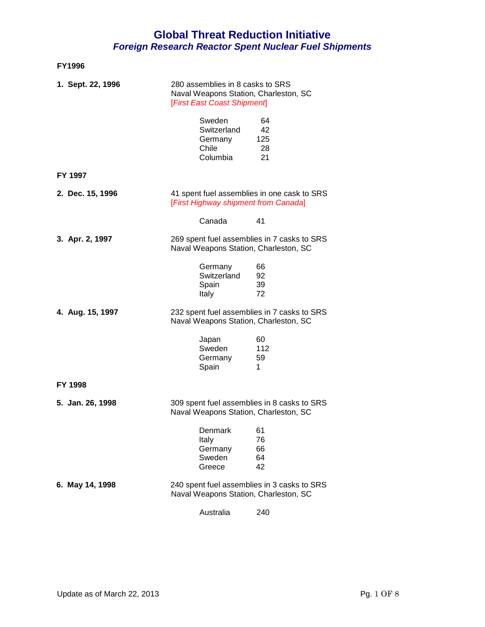| 1. Sept. 22, 1996 | 280 assemblies in 8 casks to SRS<br>Naval Weapons Station, Charleston, SC<br>[First East Coast Shipment] |                             |
|-------------------|----------------------------------------------------------------------------------------------------------|-----------------------------|
|                   | Sweden<br>Switzerland<br>Germany<br>Chile<br>Columbia                                                    | 64<br>42<br>125<br>28<br>21 |
| FY 1997           |                                                                                                          |                             |
| 2. Dec. 15, 1996  | 41 spent fuel assemblies in one cask to SRS<br>[First Highway shipment from Canada]                      |                             |
|                   | Canada                                                                                                   | 41                          |
| 3. Apr. 2, 1997   | 269 spent fuel assemblies in 7 casks to SRS<br>Naval Weapons Station, Charleston, SC                     |                             |
|                   | Germany<br>Switzerland<br>Spain<br>Italy                                                                 | 66<br>92<br>39<br>72        |
| 4. Aug. 15, 1997  | 232 spent fuel assemblies in 7 casks to SRS<br>Naval Weapons Station, Charleston, SC                     |                             |
|                   | Japan<br>Sweden<br>Germany<br>Spain                                                                      | 60<br>112<br>59<br>1.       |
| <b>FY 1998</b>    |                                                                                                          |                             |
| 5. Jan. 26, 1998  | 309 spent fuel assemblies in 8 casks to SRS<br>Naval Weapons Station, Charleston, SC                     |                             |
|                   | Denmark<br>Italy<br>Germany<br>Sweden<br>Greece                                                          | 61<br>76<br>66<br>64<br>42  |
| 6. May 14, 1998   | 240 spent fuel assemblies in 3 casks to SRS<br>Naval Weapons Station, Charleston, SC                     |                             |
|                   | Australia                                                                                                | 240                         |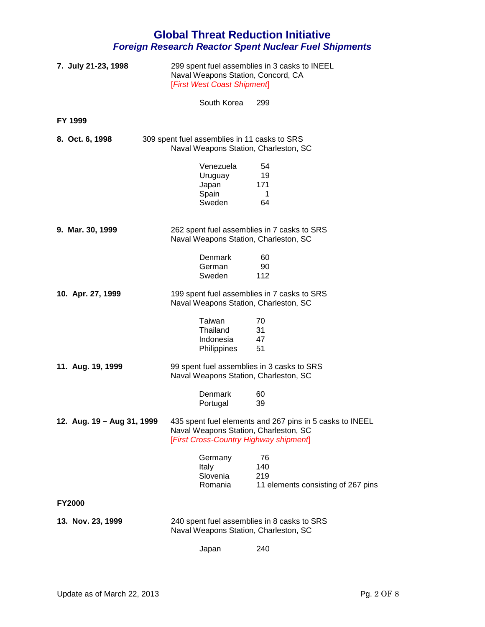| 7. July 21-23, 1998        |                                                                                       | 299 spent fuel assemblies in 3 casks to INEEL<br>Naval Weapons Station, Concord, CA<br>[First West Coast Shipment] |  |  |
|----------------------------|---------------------------------------------------------------------------------------|--------------------------------------------------------------------------------------------------------------------|--|--|
|                            | South Korea                                                                           | 299                                                                                                                |  |  |
| <b>FY 1999</b>             |                                                                                       |                                                                                                                    |  |  |
| 8. Oct. 6, 1998            | 309 spent fuel assemblies in 11 casks to SRS<br>Naval Weapons Station, Charleston, SC |                                                                                                                    |  |  |
|                            | Venezuela<br>Uruguay<br>Japan<br>Spain<br>Sweden                                      | 54<br>19<br>171<br>1<br>64                                                                                         |  |  |
| 9. Mar. 30, 1999           | Naval Weapons Station, Charleston, SC                                                 | 262 spent fuel assemblies in 7 casks to SRS                                                                        |  |  |
|                            | <b>Denmark</b><br>German<br>Sweden                                                    | 60<br>90<br>112                                                                                                    |  |  |
| 10. Apr. 27, 1999          | Naval Weapons Station, Charleston, SC                                                 | 199 spent fuel assemblies in 7 casks to SRS                                                                        |  |  |
|                            | Taiwan<br>Thailand<br>Indonesia<br><b>Philippines</b>                                 | 70<br>31<br>47<br>51                                                                                               |  |  |
| 11. Aug. 19, 1999          | Naval Weapons Station, Charleston, SC                                                 | 99 spent fuel assemblies in 3 casks to SRS                                                                         |  |  |
|                            | Denmark<br>Portugal                                                                   | 60<br>39                                                                                                           |  |  |
| 12. Aug. 19 - Aug 31, 1999 | Naval Weapons Station, Charleston, SC<br>[First Cross-Country Highway shipment]       | 435 spent fuel elements and 267 pins in 5 casks to INEEL                                                           |  |  |
|                            | Germany<br>Italy<br>Slovenia<br>Romania                                               | 76<br>140<br>219<br>11 elements consisting of 267 pins                                                             |  |  |
| <b>FY2000</b>              |                                                                                       |                                                                                                                    |  |  |
| 13. Nov. 23, 1999          |                                                                                       | 240 spent fuel assemblies in 8 casks to SRS<br>Naval Weapons Station, Charleston, SC                               |  |  |
|                            | Japan                                                                                 | 240                                                                                                                |  |  |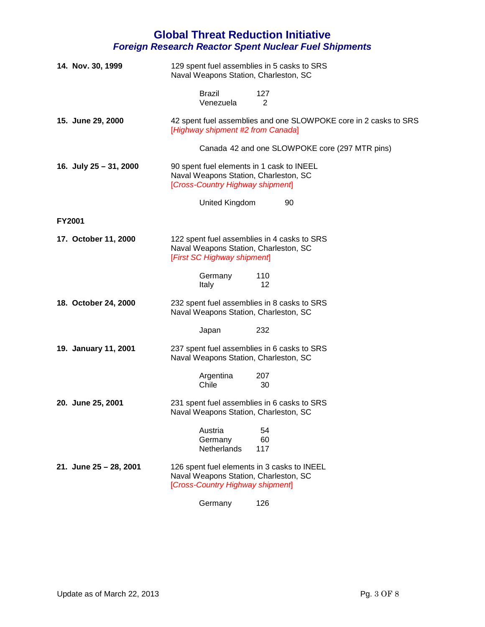| 14. Nov. 30, 1999      | 129 spent fuel assemblies in 5 casks to SRS<br>Naval Weapons Station, Charleston, SC                                     |  |  |
|------------------------|--------------------------------------------------------------------------------------------------------------------------|--|--|
|                        | <b>Brazil</b><br>127<br>Venezuela<br>2                                                                                   |  |  |
| 15. June 29, 2000      | 42 spent fuel assemblies and one SLOWPOKE core in 2 casks to SRS<br>[Highway shipment #2 from Canada]                    |  |  |
|                        | Canada 42 and one SLOWPOKE core (297 MTR pins)                                                                           |  |  |
| 16. July 25 - 31, 2000 | 90 spent fuel elements in 1 cask to INEEL<br>Naval Weapons Station, Charleston, SC<br>[Cross-Country Highway shipment]   |  |  |
|                        | <b>United Kingdom</b><br>90                                                                                              |  |  |
| <b>FY2001</b>          |                                                                                                                          |  |  |
| 17. October 11, 2000   | 122 spent fuel assemblies in 4 casks to SRS<br>Naval Weapons Station, Charleston, SC<br>[First SC Highway shipment]      |  |  |
|                        | Germany<br>110<br>12<br>Italy                                                                                            |  |  |
| 18. October 24, 2000   | 232 spent fuel assemblies in 8 casks to SRS<br>Naval Weapons Station, Charleston, SC                                     |  |  |
|                        | 232<br>Japan                                                                                                             |  |  |
| 19. January 11, 2001   | 237 spent fuel assemblies in 6 casks to SRS<br>Naval Weapons Station, Charleston, SC                                     |  |  |
|                        | Argentina<br>207<br>Chile<br>30                                                                                          |  |  |
| 20. June 25, 2001      | 231 spent fuel assemblies in 6 casks to SRS<br>Naval Weapons Station, Charleston, SC                                     |  |  |
|                        | Austria<br>54<br>60<br>Germany<br>Netherlands<br>117                                                                     |  |  |
| 21. June 25 - 28, 2001 | 126 spent fuel elements in 3 casks to INEEL<br>Naval Weapons Station, Charleston, SC<br>[Cross-Country Highway shipment] |  |  |
|                        | Germany<br>126                                                                                                           |  |  |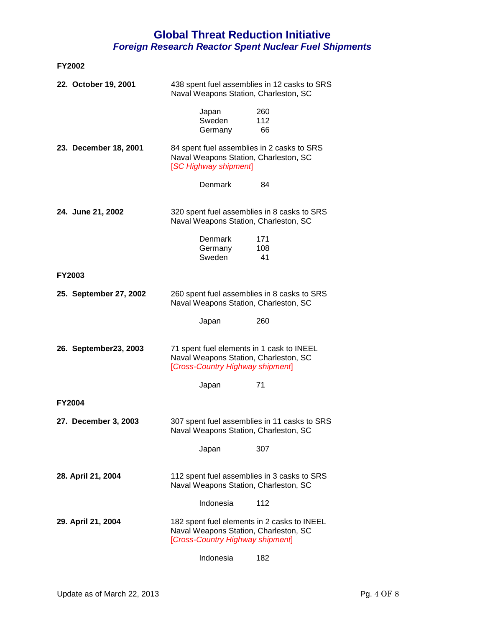| <b>FY2002</b>          |                                                                                                                          |  |                  |
|------------------------|--------------------------------------------------------------------------------------------------------------------------|--|------------------|
| 22. October 19, 2001   | 438 spent fuel assemblies in 12 casks to SRS<br>Naval Weapons Station, Charleston, SC                                    |  |                  |
|                        | Japan<br>Sweden<br>Germany                                                                                               |  | 260<br>112<br>66 |
| 23. December 18, 2001  | 84 spent fuel assemblies in 2 casks to SRS<br>Naval Weapons Station, Charleston, SC<br>[SC Highway shipment]             |  |                  |
|                        | Denmark                                                                                                                  |  | 84               |
| 24. June 21, 2002      | 320 spent fuel assemblies in 8 casks to SRS<br>Naval Weapons Station, Charleston, SC                                     |  |                  |
|                        | <b>Denmark</b><br>Germany<br>Sweden                                                                                      |  | 171<br>108<br>41 |
| <b>FY2003</b>          |                                                                                                                          |  |                  |
| 25. September 27, 2002 | 260 spent fuel assemblies in 8 casks to SRS<br>Naval Weapons Station, Charleston, SC                                     |  |                  |
|                        | Japan                                                                                                                    |  | 260              |
| 26. September 23, 2003 | 71 spent fuel elements in 1 cask to INEEL<br>Naval Weapons Station, Charleston, SC<br>[Cross-Country Highway shipment]   |  |                  |
|                        | Japan                                                                                                                    |  | 71               |
| <b>FY2004</b>          |                                                                                                                          |  |                  |
| 27. December 3, 2003   | 307 spent fuel assemblies in 11 casks to SRS<br>Naval Weapons Station, Charleston, SC                                    |  |                  |
|                        | Japan                                                                                                                    |  | 307              |
| 28. April 21, 2004     | 112 spent fuel assemblies in 3 casks to SRS<br>Naval Weapons Station, Charleston, SC                                     |  |                  |
|                        | Indonesia                                                                                                                |  | 112              |
| 29. April 21, 2004     | 182 spent fuel elements in 2 casks to INEEL<br>Naval Weapons Station, Charleston, SC<br>[Cross-Country Highway shipment] |  |                  |
|                        | Indonesia                                                                                                                |  | 182              |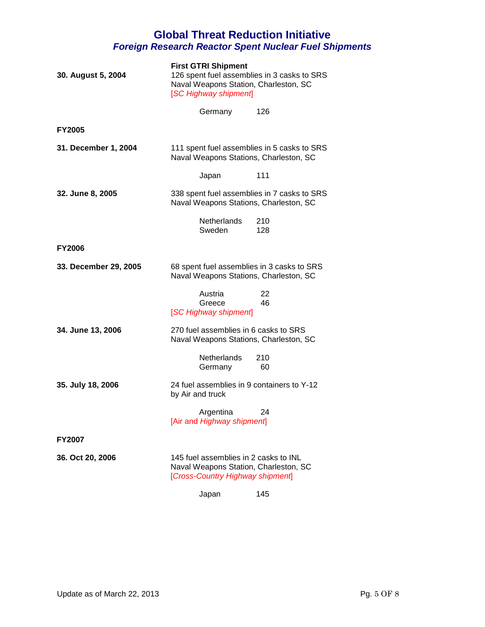| 30. August 5, 2004    | <b>First GTRI Shipment</b><br>126 spent fuel assemblies in 3 casks to SRS<br>Naval Weapons Station, Charleston, SC<br>[SC Highway shipment] |            |  |
|-----------------------|---------------------------------------------------------------------------------------------------------------------------------------------|------------|--|
|                       | Germany                                                                                                                                     | 126        |  |
| <b>FY2005</b>         |                                                                                                                                             |            |  |
| 31. December 1, 2004  | 111 spent fuel assemblies in 5 casks to SRS<br>Naval Weapons Stations, Charleston, SC                                                       |            |  |
|                       | Japan                                                                                                                                       | 111        |  |
| 32. June 8, 2005      | 338 spent fuel assemblies in 7 casks to SRS<br>Naval Weapons Stations, Charleston, SC                                                       |            |  |
|                       | Netherlands<br>Sweden                                                                                                                       | 210<br>128 |  |
| <b>FY2006</b>         |                                                                                                                                             |            |  |
| 33. December 29, 2005 | 68 spent fuel assemblies in 3 casks to SRS<br>Naval Weapons Stations, Charleston, SC                                                        |            |  |
|                       | Austria<br>Greece<br>[SC Highway shipment]                                                                                                  | 22<br>46   |  |
| 34. June 13, 2006     | 270 fuel assemblies in 6 casks to SRS<br>Naval Weapons Stations, Charleston, SC                                                             |            |  |
|                       | Netherlands<br>Germany                                                                                                                      | 210<br>60  |  |
| 35. July 18, 2006     | 24 fuel assemblies in 9 containers to Y-12<br>by Air and truck                                                                              |            |  |
|                       | Argentina<br>[Air and Highway shipment]                                                                                                     | 24         |  |
| <b>FY2007</b>         |                                                                                                                                             |            |  |
| 36. Oct 20, 2006      | 145 fuel assemblies in 2 casks to INL<br>Naval Weapons Station, Charleston, SC<br>[Cross-Country Highway shipment]                          |            |  |
|                       | Japan                                                                                                                                       | 145        |  |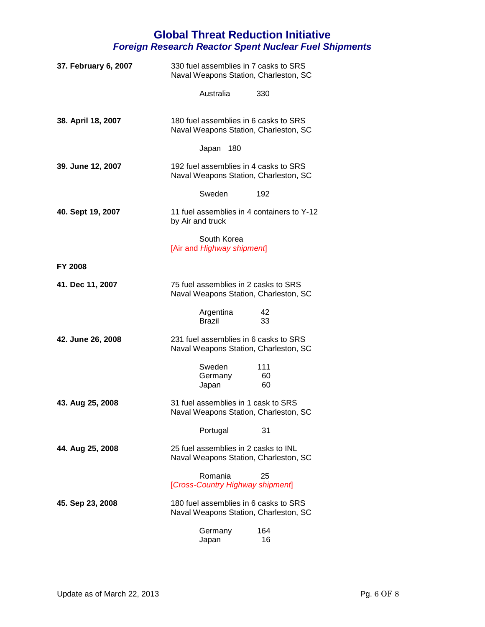| 37. February 6, 2007 | 330 fuel assemblies in 7 casks to SRS<br>Naval Weapons Station, Charleston, SC |  |
|----------------------|--------------------------------------------------------------------------------|--|
|                      | Australia<br>330                                                               |  |
| 38. April 18, 2007   | 180 fuel assemblies in 6 casks to SRS<br>Naval Weapons Station, Charleston, SC |  |
|                      | Japan 180                                                                      |  |
| 39. June 12, 2007    | 192 fuel assemblies in 4 casks to SRS<br>Naval Weapons Station, Charleston, SC |  |
|                      | Sweden<br>192                                                                  |  |
| 40. Sept 19, 2007    | 11 fuel assemblies in 4 containers to Y-12<br>by Air and truck                 |  |
|                      | South Korea<br>[Air and Highway shipment]                                      |  |
| <b>FY 2008</b>       |                                                                                |  |
| 41. Dec 11, 2007     | 75 fuel assemblies in 2 casks to SRS<br>Naval Weapons Station, Charleston, SC  |  |
|                      | Argentina<br>42<br><b>Brazil</b><br>33                                         |  |
| 42. June 26, 2008    | 231 fuel assemblies in 6 casks to SRS<br>Naval Weapons Station, Charleston, SC |  |
|                      | Sweden<br>111<br>Germany<br>60<br>60<br>Japan                                  |  |
| 43. Aug 25, 2008     | 31 fuel assemblies in 1 cask to SRS<br>Naval Weapons Station, Charleston, SC   |  |
|                      | Portugal<br>31                                                                 |  |
| 44. Aug 25, 2008     | 25 fuel assemblies in 2 casks to INL<br>Naval Weapons Station, Charleston, SC  |  |
|                      | Romania<br>25<br>[Cross-Country Highway shipment]                              |  |
| 45. Sep 23, 2008     | 180 fuel assemblies in 6 casks to SRS<br>Naval Weapons Station, Charleston, SC |  |
|                      | Germany<br>164<br>Japan<br>16                                                  |  |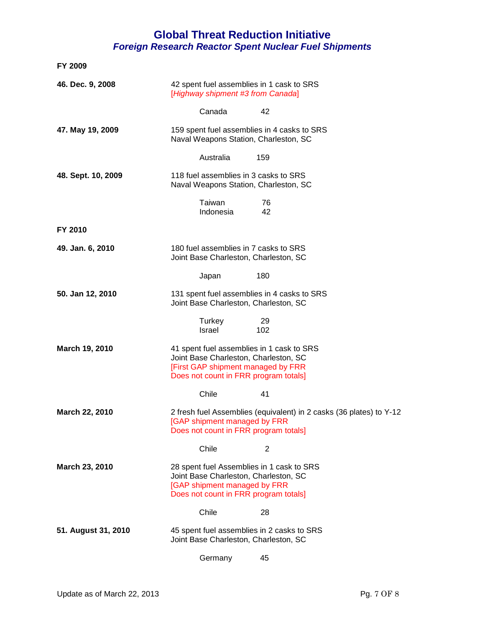| FY 2009                                                                                        |                                                                                                                                                                   |           |                                                                     |
|------------------------------------------------------------------------------------------------|-------------------------------------------------------------------------------------------------------------------------------------------------------------------|-----------|---------------------------------------------------------------------|
| 46. Dec. 9, 2008                                                                               | 42 spent fuel assemblies in 1 cask to SRS<br>[Highway shipment #3 from Canada]                                                                                    |           |                                                                     |
|                                                                                                | Canada                                                                                                                                                            | 42        |                                                                     |
| 47. May 19, 2009                                                                               | 159 spent fuel assemblies in 4 casks to SRS<br>Naval Weapons Station, Charleston, SC                                                                              |           |                                                                     |
|                                                                                                | Australia                                                                                                                                                         | 159       |                                                                     |
| 48. Sept. 10, 2009                                                                             | 118 fuel assemblies in 3 casks to SRS<br>Naval Weapons Station, Charleston, SC                                                                                    |           |                                                                     |
|                                                                                                | Taiwan<br>Indonesia                                                                                                                                               | 76<br>42  |                                                                     |
| FY 2010                                                                                        |                                                                                                                                                                   |           |                                                                     |
| 49. Jan. 6, 2010                                                                               | 180 fuel assemblies in 7 casks to SRS<br>Joint Base Charleston, Charleston, SC                                                                                    |           |                                                                     |
|                                                                                                | Japan                                                                                                                                                             | 180       |                                                                     |
| 50. Jan 12, 2010                                                                               | 131 spent fuel assemblies in 4 casks to SRS<br>Joint Base Charleston, Charleston, SC                                                                              |           |                                                                     |
|                                                                                                | Turkey<br>Israel                                                                                                                                                  | 29<br>102 |                                                                     |
| March 19, 2010                                                                                 | 41 spent fuel assemblies in 1 cask to SRS<br>Joint Base Charleston, Charleston, SC<br>[First GAP shipment managed by FRR<br>Does not count in FRR program totals] |           |                                                                     |
|                                                                                                | Chile                                                                                                                                                             | 41        |                                                                     |
| <b>March 22, 2010</b><br>[GAP shipment managed by FRR<br>Does not count in FRR program totals] |                                                                                                                                                                   |           | 2 fresh fuel Assemblies (equivalent) in 2 casks (36 plates) to Y-12 |
|                                                                                                | Chile                                                                                                                                                             | 2         |                                                                     |
| March 23, 2010                                                                                 | 28 spent fuel Assemblies in 1 cask to SRS<br>Joint Base Charleston, Charleston, SC<br>[GAP shipment managed by FRR<br>Does not count in FRR program totals]       |           |                                                                     |
|                                                                                                | Chile                                                                                                                                                             | 28        |                                                                     |
| 51. August 31, 2010                                                                            | 45 spent fuel assemblies in 2 casks to SRS<br>Joint Base Charleston, Charleston, SC                                                                               |           |                                                                     |
|                                                                                                | Germany                                                                                                                                                           | 45        |                                                                     |